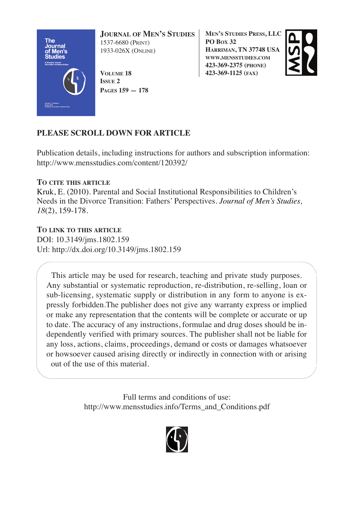

**JOURNAL OF MEN'S STUDIES** 1537-6680 (PRINT) 1933-026X (ONLINE)

**VOLUME 18 ISSUE 2 PAGES 159 — 178** **MEN'S STUDIES PRESS, LLC PO BOX 32 HARRIMAN, TN 37748 USA WWW.MENSSTUDIES.COM 423-369-2375 (PHONE) 423-369-1125 (FAX)**



## **PLEASE SCROLL DOWN FOR ARTICLE**

Publication details, including instructions for authors and subscription information: http://www.mensstudies.com/content/120392/

## **TO CITE THIS ARTICLE**

Kruk, E. (2010). Parental and Social Institutional Responsibilities to Children's Needs in the Divorce Transition: Fathers' Perspectives. *Journal of Men's Studies, 18*(2), 159-178.

## **TO LINK TO THIS ARTICLE**

DOI: 10.3149/jms.1802.159 Url: http://dx.doi.org/10.3149/jms.1802.159

This article may be used for research, teaching and private study purposes. Any substantial or systematic reproduction, re-distribution, re-selling, loan or sub-licensing, systematic supply or distribution in any form to anyone is expressly forbidden.The publisher does not give any warranty express or implied or make any representation that the contents will be complete or accurate or up to date. The accuracy of any instructions, formulae and drug doses should be independently verified with primary sources. The publisher shall not be liable for any loss, actions, claims, proceedings, demand or costs or damages whatsoever or howsoever caused arising directly or indirectly in connection with or arising out of the use of this material.

> Full terms and conditions of use: http://www.mensstudies.info/Terms\_and\_Conditions.pdf

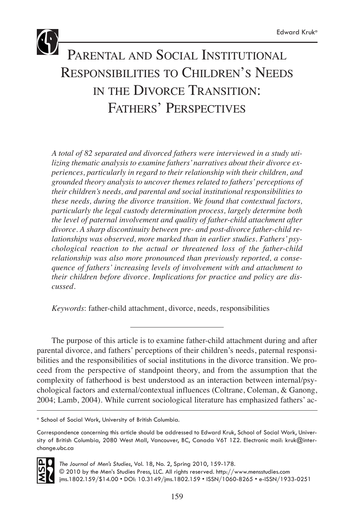# PARENTAL AND SOCIAL INSTITUTIONAL RESPONSIBILITIES TO CHILDREN'S NEEDS IN THE DIVORCE TRANSITION: FATHERS' PERSPECTIVES

*A total of 82 separated and divorced fathers were interviewed in a study utilizing thematic analysis to examine fathers' narratives about their divorce experiences, particularly in regard to their relationship with their children, and grounded theory analysis to uncover themes related to fathers' perceptions of their children's needs, and parental and social institutional responsibilities to these needs, during the divorce transition. We found that contextual factors, particularly the legal custody determination process, largely determine both the level of paternal involvement and quality of father-child attachment after divorce. A sharp discontinuity between pre- and post-divorce father-child relationships was observed, more marked than in earlier studies. Fathers' psychological reaction to the actual or threatened loss of the father-child relationship was also more pronounced than previously reported, a consequence of fathers' increasing levels of involvement with and attachment to their children before divorce. Implications for practice and policy are discussed.*

*Keywords*: father-child attachment, divorce, needs, responsibilities

The purpose of this article is to examine father-child attachment during and after parental divorce, and fathers' perceptions of their children's needs, paternal responsibilities and the responsibilities of social institutions in the divorce transition. We proceed from the perspective of standpoint theory, and from the assumption that the complexity of fatherhood is best understood as an interaction between internal/psychological factors and external/contextual influences (Coltrane, Coleman, & Ganong, 2004; Lamb, 2004). While current sociological literature has emphasized fathers' ac-

Correspondence concerning this article should be addressed to Edward Kruk, School of Social Work, University of British Columbia, 2080 West Mall, Vancouver, BC, Canada V6T 1Z2. Electronic mail: kruk@interchange.ubc.ca



*The Journal of Men's Studies*, Vol. 18, No. 2, Spring 2010, 159-178. © 2010 by the Men's Studies Press, LLC. All rights reserved. http://www.mensstudies.com jms.1802.159/\$14.00 • DOI: 10.3149/jms.1802.159 • ISSN/1060-8265 • e-ISSN/1933-0251

<sup>a</sup> School of Social Work, University of British Columbia.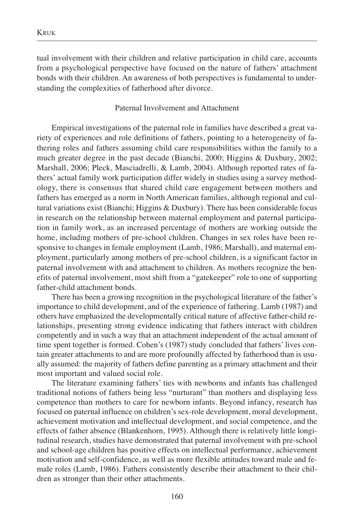tual involvement with their children and relative participation in child care, accounts from a psychological perspective have focused on the nature of fathers' attachment bonds with their children. An awareness of both perspectives is fundamental to understanding the complexities of fatherhood after divorce.

## Paternal Involvement and Attachment

Empirical investigations of the paternal role in families have described a great variety of experiences and role definitions of fathers, pointing to a heterogeneity of fathering roles and fathers assuming child care responsibilities within the family to a much greater degree in the past decade (Bianchi, 2000; Higgins & Duxbury, 2002; Marshall, 2006; Pleck, Masciadrelli, & Lamb, 2004). Although reported rates of fathers' actual family work participation differ widely in studies using a survey methodology, there is consensus that shared child care engagement between mothers and fathers has emerged as a norm in North American families, although regional and cultural variations exist (Bianchi; Higgins & Duxbury). There has been considerable focus in research on the relationship between maternal employment and paternal participation in family work, as an increased percentage of mothers are working outside the home, including mothers of pre-school children. Changes in sex roles have been responsive to changes in female employment (Lamb, 1986; Marshall), and maternal employment, particularly among mothers of pre-school children, is a significant factor in paternal involvement with and attachment to children. As mothers recognize the benefits of paternal involvement, most shift from a "gatekeeper" role to one of supporting father-child attachment bonds.

There has been a growing recognition in the psychological literature of the father's importance to child development, and of the experience of fathering. Lamb (1987) and others have emphasized the developmentally critical nature of affective father-child relationships, presenting strong evidence indicating that fathers interact with children competently and in such a way that an attachment independent of the actual amount of time spent together is formed. Cohen's (1987) study concluded that fathers' lives contain greater attachments to and are more profoundly affected by fatherhood than is usually assumed: the majority of fathers define parenting as a primary attachment and their most important and valued social role.

The literature examining fathers' ties with newborns and infants has challenged traditional notions of fathers being less "nurturant" than mothers and displaying less competence than mothers to care for newborn infants. Beyond infancy, research has focused on paternal influence on children's sex-role development, moral development, achievement motivation and intellectual development, and social competence, and the effects of father absence (Blankenhorn, 1995). Although there is relatively little longitudinal research, studies have demonstrated that paternal involvement with pre-school and school-age children has positive effects on intellectual performance, achievement motivation and self-confidence, as well as more flexible attitudes toward male and female roles (Lamb, 1986). Fathers consistently describe their attachment to their children as stronger than their other attachments.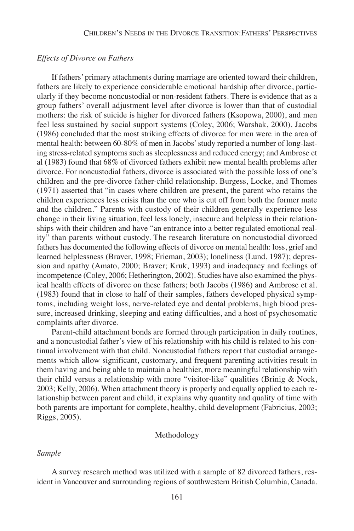#### *Effects of Divorce on Fathers*

If fathers' primary attachments during marriage are oriented toward their children, fathers are likely to experience considerable emotional hardship after divorce, particularly if they become noncustodial or non-resident fathers. There is evidence that as a group fathers' overall adjustment level after divorce is lower than that of custodial mothers: the risk of suicide is higher for divorced fathers (Ksopowa, 2000), and men feel less sustained by social support systems (Coley, 2006; Warshak, 2000). Jacobs (1986) concluded that the most striking effects of divorce for men were in the area of mental health: between 60-80% of men in Jacobs' study reported a number of long-lasting stress-related symptoms such as sleeplessness and reduced energy; and Ambrose et al (1983) found that 68% of divorced fathers exhibit new mental health problems after divorce. For noncustodial fathers, divorce is associated with the possible loss of one's children and the pre-divorce father-child relationship. Burgess, Locke, and Thomes (1971) asserted that "in cases where children are present, the parent who retains the children experiences less crisis than the one who is cut off from both the former mate and the children." Parents with custody of their children generally experience less change in their living situation, feel less lonely, insecure and helpless in their relationships with their children and have "an entrance into a better regulated emotional reality" than parents without custody. The research literature on noncustodial divorced fathers has documented the following effects of divorce on mental health: loss, grief and learned helplessness (Braver, 1998; Frieman, 2003); loneliness (Lund, 1987); depression and apathy (Amato, 2000; Braver; Kruk, 1993) and inadequacy and feelings of incompetence (Coley, 2006; Hetherington, 2002). Studies have also examined the physical health effects of divorce on these fathers; both Jacobs (1986) and Ambrose et al. (1983) found that in close to half of their samples, fathers developed physical symptoms, including weight loss, nerve-related eye and dental problems, high blood pressure, increased drinking, sleeping and eating difficulties, and a host of psychosomatic complaints after divorce.

Parent-child attachment bonds are formed through participation in daily routines, and a noncustodial father's view of his relationship with his child is related to his continual involvement with that child. Noncustodial fathers report that custodial arrangements which allow significant, customary, and frequent parenting activities result in them having and being able to maintain a healthier, more meaningful relationship with their child versus a relationship with more "visitor-like" qualities (Brinig  $\&$  Nock, 2003; Kelly, 2006). When attachment theory is properly and equally applied to each relationship between parent and child, it explains why quantity and quality of time with both parents are important for complete, healthy, child development (Fabricius, 2003; Riggs, 2005).

#### Methodology

#### *Sample*

A survey research method was utilized with a sample of 82 divorced fathers, resident in Vancouver and surrounding regions of southwestern British Columbia, Canada.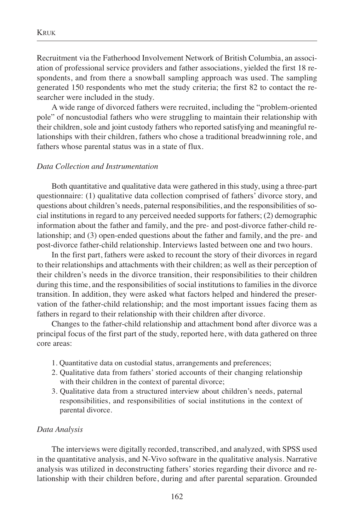Recruitment via the Fatherhood Involvement Network of British Columbia, an association of professional service providers and father associations, yielded the first 18 respondents, and from there a snowball sampling approach was used. The sampling generated 150 respondents who met the study criteria; the first 82 to contact the researcher were included in the study.

A wide range of divorced fathers were recruited, including the "problem-oriented pole" of noncustodial fathers who were struggling to maintain their relationship with their children, sole and joint custody fathers who reported satisfying and meaningful relationships with their children, fathers who chose a traditional breadwinning role, and fathers whose parental status was in a state of flux.

#### *Data Collection and Instrumentation*

Both quantitative and qualitative data were gathered in this study, using a three-part questionnaire: (1) qualitative data collection comprised of fathers' divorce story, and questions about children's needs, paternal responsibilities, and the responsibilities of social institutions in regard to any perceived needed supports for fathers; (2) demographic information about the father and family, and the pre- and post-divorce father-child relationship; and (3) open-ended questions about the father and family, and the pre- and post-divorce father-child relationship. Interviews lasted between one and two hours.

In the first part, fathers were asked to recount the story of their divorces in regard to their relationships and attachments with their children; as well as their perception of their children's needs in the divorce transition, their responsibilities to their children during this time, and the responsibilities of social institutions to families in the divorce transition. In addition, they were asked what factors helped and hindered the preservation of the father-child relationship; and the most important issues facing them as fathers in regard to their relationship with their children after divorce.

Changes to the father-child relationship and attachment bond after divorce was a principal focus of the first part of the study, reported here, with data gathered on three core areas:

- 1. Quantitative data on custodial status, arrangements and preferences;
- 2. Qualitative data from fathers' storied accounts of their changing relationship with their children in the context of parental divorce;
- 3. Qualitative data from a structured interview about children's needs, paternal responsibilities, and responsibilities of social institutions in the context of parental divorce.

#### *Data Analysis*

The interviews were digitally recorded, transcribed, and analyzed, with SPSS used in the quantitative analysis, and N-Vivo software in the qualitative analysis. Narrative analysis was utilized in deconstructing fathers' stories regarding their divorce and relationship with their children before, during and after parental separation. Grounded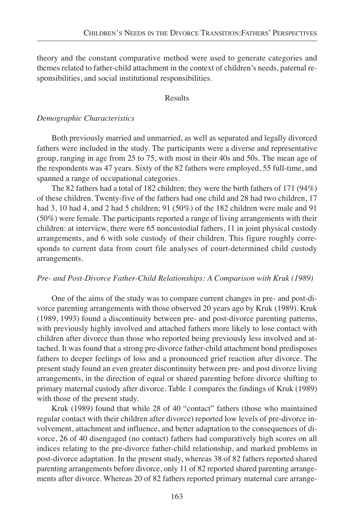theory and the constant comparative method were used to generate categories and themes related to father-child attachment in the context of children's needs, paternal responsibilities, and social institutional responsibilities.

#### Results

#### *Demographic Characteristics*

Both previously married and unmarried, as well as separated and legally divorced fathers were included in the study. The participants were a diverse and representative group, ranging in age from 25 to 75, with most in their 40s and 50s. The mean age of the respondents was 47 years. Sixty of the 82 fathers were employed, 55 full-time, and spanned a range of occupational categories.

The 82 fathers had a total of 182 children; they were the birth fathers of 171 (94%) of these children. Twenty-five of the fathers had one child and 28 had two children, 17 had 3, 10 had 4, and 2 had 5 children; 91 (50%) of the 182 children were male and 91 (50%) were female. The participants reported a range of living arrangements with their children: at interview, there were 65 noncustodial fathers, 11 in joint physical custody arrangements, and 6 with sole custody of their children. This figure roughly corresponds to current data from court file analyses of court-determined child custody arrangements.

#### *Pre- and Post-Divorce Father-Child Relationships: A Comparison with Kruk (1989)*

One of the aims of the study was to compare current changes in pre- and post-divorce parenting arrangements with those observed 20 years ago by Kruk (1989). Kruk (1989, 1993) found a discontinuity between pre- and post-divorce parenting patterns, with previously highly involved and attached fathers more likely to lose contact with children after divorce than those who reported being previously less involved and attached. It was found that a strong pre-divorce father-child attachment bond predisposes fathers to deeper feelings of loss and a pronounced grief reaction after divorce. The present study found an even greater discontinuity between pre- and post divorce living arrangements, in the direction of equal or shared parenting before divorce shifting to primary maternal custody after divorce. Table 1 compares the findings of Kruk (1989) with those of the present study.

Kruk (1989) found that while 28 of 40 "contact" fathers (those who maintained regular contact with their children after divorce) reported low levels of pre-divorce involvement, attachment and influence, and better adaptation to the consequences of divorce, 26 of 40 disengaged (no contact) fathers had comparatively high scores on all indices relating to the pre-divorce father-child relationship, and marked problems in post-divorce adaptation. In the present study, whereas 38 of 82 fathers reported shared parenting arrangements before divorce, only 11 of 82 reported shared parenting arrangements after divorce. Whereas 20 of 82 fathers reported primary maternal care arrange-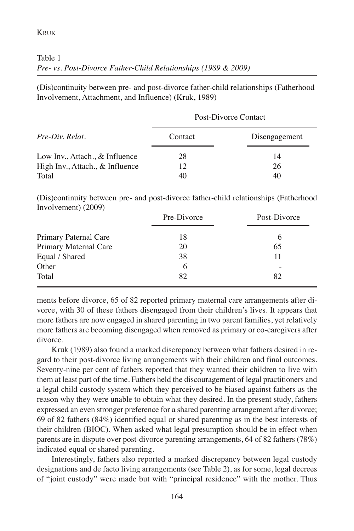Table 1

Involvement) (2009)

*Pre- vs. Post-Divorce Father-Child Relationships (1989 & 2009)*

(Dis)continuity between pre- and post-divorce father-child relationships (Fatherhood Involvement, Attachment, and Influence) (Kruk, 1989)

Post-Divorce Contact

| Pre-Div. Relat.                 | Contact | Disengagement |
|---------------------------------|---------|---------------|
| Low Inv., Attach., & Influence  | 28      | 14            |
| High Inv., Attach., & Influence | 12      | 26            |
| Total                           | 40      | 40            |

(Dis)continuity between pre- and post-divorce father-child relationships (Fatherhood

| .                     | Pre-Divorce | Post-Divorce |
|-----------------------|-------------|--------------|
| Primary Paternal Care | 18          | 6            |
| Primary Maternal Care | 20          | 65           |
| Equal / Shared        | 38          |              |
| Other                 | 6           |              |
| Total                 | 82          | 82           |

ments before divorce, 65 of 82 reported primary maternal care arrangements after divorce, with 30 of these fathers disengaged from their children's lives. It appears that more fathers are now engaged in shared parenting in two parent families, yet relatively more fathers are becoming disengaged when removed as primary or co-caregivers after divorce.

Kruk (1989) also found a marked discrepancy between what fathers desired in regard to their post-divorce living arrangements with their children and final outcomes. Seventy-nine per cent of fathers reported that they wanted their children to live with them at least part of the time. Fathers held the discouragement of legal practitioners and a legal child custody system which they perceived to be biased against fathers as the reason why they were unable to obtain what they desired. In the present study, fathers expressed an even stronger preference for a shared parenting arrangement after divorce; 69 of 82 fathers (84%) identified equal or shared parenting as in the best interests of their children (BIOC). When asked what legal presumption should be in effect when parents are in dispute over post-divorce parenting arrangements, 64 of 82 fathers (78%) indicated equal or shared parenting.

Interestingly, fathers also reported a marked discrepancy between legal custody designations and de facto living arrangements (see Table 2), as for some, legal decrees of "joint custody" were made but with "principal residence" with the mother. Thus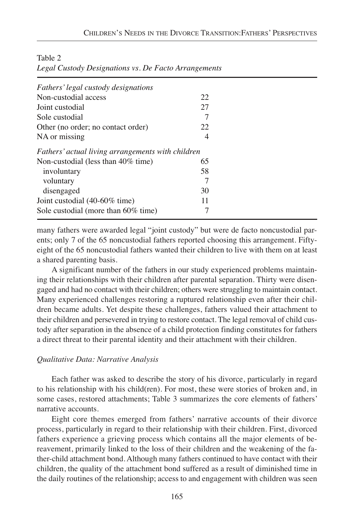| Fathers' legal custody designations               |    |  |
|---------------------------------------------------|----|--|
| Non-custodial access                              | 22 |  |
| Joint custodial                                   | 27 |  |
| Sole custodial                                    |    |  |
| Other (no order; no contact order)                | 22 |  |
| NA or missing                                     | 4  |  |
| Fathers' actual living arrangements with children |    |  |
| Non-custodial (less than 40% time)                | 65 |  |
| involuntary                                       | 58 |  |
| voluntary                                         | 7  |  |
| disengaged                                        | 30 |  |
| Joint custodial (40-60% time)                     | 11 |  |
| Sole custodial (more than 60% time)               |    |  |
|                                                   |    |  |

Table 2

|  |  |  | Legal Custody Designations vs. De Facto Arrangements |
|--|--|--|------------------------------------------------------|
|  |  |  |                                                      |

many fathers were awarded legal "joint custody" but were de facto noncustodial parents; only 7 of the 65 noncustodial fathers reported choosing this arrangement. Fiftyeight of the 65 noncustodial fathers wanted their children to live with them on at least a shared parenting basis.

A significant number of the fathers in our study experienced problems maintaining their relationships with their children after parental separation. Thirty were disengaged and had no contact with their children; others were struggling to maintain contact. Many experienced challenges restoring a ruptured relationship even after their children became adults. Yet despite these challenges, fathers valued their attachment to their children and persevered in trying to restore contact. The legal removal of child custody after separation in the absence of a child protection finding constitutes for fathers a direct threat to their parental identity and their attachment with their children.

#### *Qualitative Data: Narrative Analysis*

Each father was asked to describe the story of his divorce, particularly in regard to his relationship with his child(ren). For most, these were stories of broken and, in some cases, restored attachments; Table 3 summarizes the core elements of fathers' narrative accounts.

Eight core themes emerged from fathers' narrative accounts of their divorce process, particularly in regard to their relationship with their children. First, divorced fathers experience a grieving process which contains all the major elements of bereavement, primarily linked to the loss of their children and the weakening of the father-child attachment bond. Although many fathers continued to have contact with their children, the quality of the attachment bond suffered as a result of diminished time in the daily routines of the relationship; access to and engagement with children was seen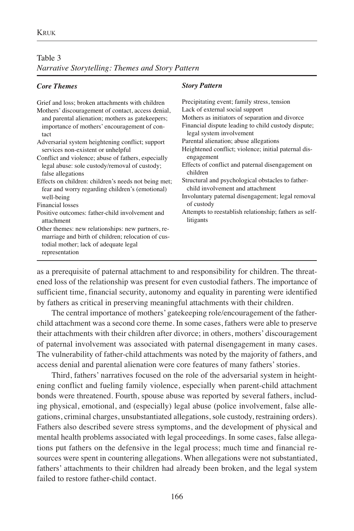#### Table 3

*Narrative Storytelling: Themes and Story Pattern*

#### *Core Themes*

| Precipitating event; family stress, tension                                           |
|---------------------------------------------------------------------------------------|
| Lack of external social support                                                       |
| Mothers as initiators of separation and divorce                                       |
| Financial dispute leading to child custody dispute;<br>legal system involvement       |
| Parental alienation; abuse allegations                                                |
| Heightened conflict; violence; initial paternal dis-                                  |
| engagement                                                                            |
| Effects of conflict and paternal disengagement on<br>children                         |
| Structural and psychological obstacles to father-<br>child involvement and attachment |
| Involuntary paternal disengagement; legal removal                                     |
| of custody                                                                            |
| Attempts to reestablish relationship; fathers as self-<br>litigants                   |
|                                                                                       |
|                                                                                       |

*Story Pattern*

as a prerequisite of paternal attachment to and responsibility for children. The threatened loss of the relationship was present for even custodial fathers. The importance of sufficient time, financial security, autonomy and equality in parenting were identified by fathers as critical in preserving meaningful attachments with their children.

The central importance of mothers' gatekeeping role/encouragement of the fatherchild attachment was a second core theme. In some cases, fathers were able to preserve their attachments with their children after divorce; in others, mothers' discouragement of paternal involvement was associated with paternal disengagement in many cases. The vulnerability of father-child attachments was noted by the majority of fathers, and access denial and parental alienation were core features of many fathers' stories.

Third, fathers' narratives focused on the role of the adversarial system in heightening conflict and fueling family violence, especially when parent-child attachment bonds were threatened. Fourth, spouse abuse was reported by several fathers, including physical, emotional, and (especially) legal abuse (police involvement, false allegations, criminal charges, unsubstantiated allegations, sole custody, restraining orders). Fathers also described severe stress symptoms, and the development of physical and mental health problems associated with legal proceedings. In some cases, false allegations put fathers on the defensive in the legal process; much time and financial resources were spent in countering allegations. When allegations were not substantiated, fathers' attachments to their children had already been broken, and the legal system failed to restore father-child contact.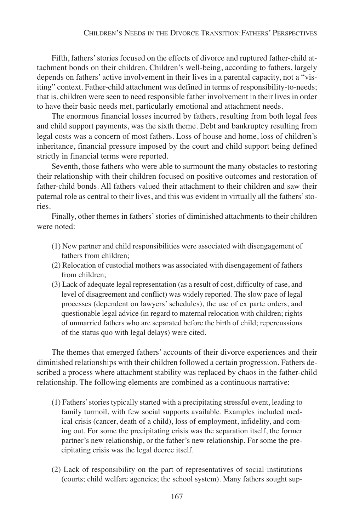Fifth, fathers' stories focused on the effects of divorce and ruptured father-child attachment bonds on their children. Children's well-being, according to fathers, largely depends on fathers' active involvement in their lives in a parental capacity, not a "visiting" context. Father-child attachment was defined in terms of responsibility-to-needs; that is, children were seen to need responsible father involvement in their lives in order to have their basic needs met, particularly emotional and attachment needs.

The enormous financial losses incurred by fathers, resulting from both legal fees and child support payments, was the sixth theme. Debt and bankruptcy resulting from legal costs was a concern of most fathers. Loss of house and home, loss of children's inheritance, financial pressure imposed by the court and child support being defined strictly in financial terms were reported.

Seventh, those fathers who were able to surmount the many obstacles to restoring their relationship with their children focused on positive outcomes and restoration of father-child bonds. All fathers valued their attachment to their children and saw their paternal role as central to their lives, and this was evident in virtually all the fathers' stories.

Finally, other themes in fathers' stories of diminished attachments to their children were noted:

- (1) New partner and child responsibilities were associated with disengagement of fathers from children;
- (2) Relocation of custodial mothers was associated with disengagement of fathers from children;
- (3) Lack of adequate legal representation (as a result of cost, difficulty of case, and level of disagreement and conflict) was widely reported. The slow pace of legal processes (dependent on lawyers' schedules), the use of ex parte orders, and questionable legal advice (in regard to maternal relocation with children; rights of unmarried fathers who are separated before the birth of child; repercussions of the status quo with legal delays) were cited.

The themes that emerged fathers' accounts of their divorce experiences and their diminished relationships with their children followed a certain progression. Fathers described a process where attachment stability was replaced by chaos in the father-child relationship. The following elements are combined as a continuous narrative:

- (1) Fathers' stories typically started with a precipitating stressful event, leading to family turmoil, with few social supports available. Examples included medical crisis (cancer, death of a child), loss of employment, infidelity, and coming out. For some the precipitating crisis was the separation itself, the former partner's new relationship, or the father's new relationship. For some the precipitating crisis was the legal decree itself.
- (2) Lack of responsibility on the part of representatives of social institutions (courts; child welfare agencies; the school system). Many fathers sought sup-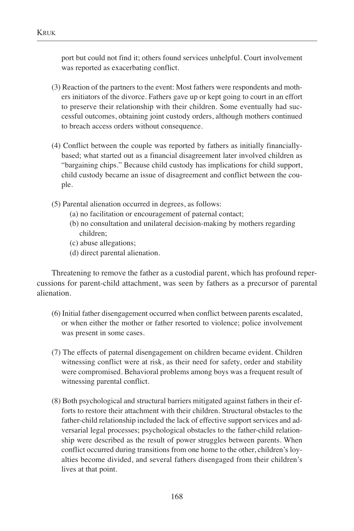port but could not find it; others found services unhelpful. Court involvement was reported as exacerbating conflict.

- (3) Reaction of the partners to the event: Most fathers were respondents and mothers initiators of the divorce. Fathers gave up or kept going to court in an effort to preserve their relationship with their children. Some eventually had successful outcomes, obtaining joint custody orders, although mothers continued to breach access orders without consequence.
- (4) Conflict between the couple was reported by fathers as initially financiallybased; what started out as a financial disagreement later involved children as "bargaining chips." Because child custody has implications for child support, child custody became an issue of disagreement and conflict between the couple.
- (5) Parental alienation occurred in degrees, as follows:
	- (a) no facilitation or encouragement of paternal contact;
	- (b) no consultation and unilateral decision-making by mothers regarding children;
	- (c) abuse allegations;
	- (d) direct parental alienation.

Threatening to remove the father as a custodial parent, which has profound repercussions for parent-child attachment, was seen by fathers as a precursor of parental alienation.

- (6) Initial father disengagement occurred when conflict between parents escalated, or when either the mother or father resorted to violence; police involvement was present in some cases.
- (7) The effects of paternal disengagement on children became evident. Children witnessing conflict were at risk, as their need for safety, order and stability were compromised. Behavioral problems among boys was a frequent result of witnessing parental conflict.
- (8) Both psychological and structural barriers mitigated against fathers in their efforts to restore their attachment with their children. Structural obstacles to the father-child relationship included the lack of effective support services and adversarial legal processes; psychological obstacles to the father-child relationship were described as the result of power struggles between parents. When conflict occurred during transitions from one home to the other, children's loyalties become divided, and several fathers disengaged from their children's lives at that point.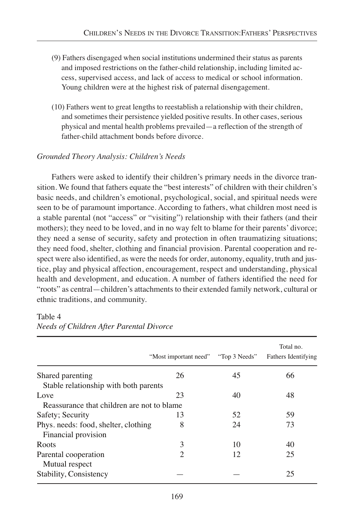- (9) Fathers disengaged when social institutions undermined their status as parents and imposed restrictions on the father-child relationship, including limited access, supervised access, and lack of access to medical or school information. Young children were at the highest risk of paternal disengagement.
- (10) Fathers went to great lengths to reestablish a relationship with their children, and sometimes their persistence yielded positive results. In other cases, serious physical and mental health problems prevailed—a reflection of the strength of father-child attachment bonds before divorce.

## *Grounded Theory Analysis: Children's Needs*

Fathers were asked to identify their children's primary needs in the divorce transition. We found that fathers equate the "best interests" of children with their children's basic needs, and children's emotional, psychological, social, and spiritual needs were seen to be of paramount importance. According to fathers, what children most need is a stable parental (not "access" or "visiting") relationship with their fathers (and their mothers); they need to be loved, and in no way felt to blame for their parents' divorce; they need a sense of security, safety and protection in often traumatizing situations; they need food, shelter, clothing and financial provision. Parental cooperation and respect were also identified, as were the needs for order, autonomy, equality, truth and justice, play and physical affection, encouragement, respect and understanding, physical health and development, and education. A number of fathers identified the need for "roots" as central—children's attachments to their extended family network, cultural or ethnic traditions, and community.

#### Table 4

|                                            | "Most important need" | "Top 3 Needs" | Total no.<br><b>Fathers Identifying</b> |
|--------------------------------------------|-----------------------|---------------|-----------------------------------------|
| Shared parenting                           | 26                    | 45            | 66                                      |
| Stable relationship with both parents      |                       |               |                                         |
| Love                                       | 23                    | 40            | 48                                      |
| Reassurance that children are not to blame |                       |               |                                         |
| Safety; Security                           | 13                    | 52            | 59                                      |
| Phys. needs: food, shelter, clothing       | 8                     | 24            | 73                                      |
| Financial provision                        |                       |               |                                         |
| Roots                                      | 3                     | 10            | 40                                      |
| Parental cooperation                       | 2                     | 12            | 25                                      |
| Mutual respect                             |                       |               |                                         |
| Stability, Consistency                     |                       |               | 25                                      |

*Needs of Children After Parental Divorce*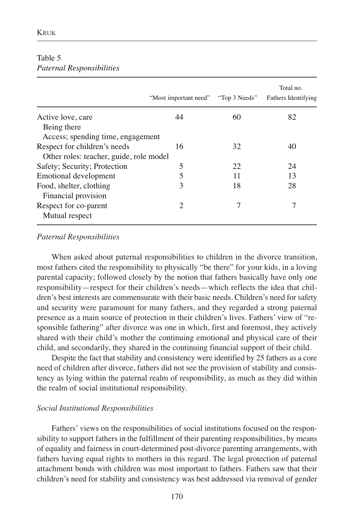|                                         | "Most important need" | "Top 3 Needs" | Total no.<br><b>Fathers Identifying</b> |
|-----------------------------------------|-----------------------|---------------|-----------------------------------------|
| Active love, care                       | 44                    | 60            | 82                                      |
| Being there                             |                       |               |                                         |
| Access; spending time, engagement       |                       |               |                                         |
| Respect for children's needs            | 16                    | 32            | 40                                      |
| Other roles: teacher, guide, role model |                       |               |                                         |
| Safety; Security; Protection            | 5                     | 22            | 24                                      |
| Emotional development                   | 5                     | 11            | 13                                      |
| Food, shelter, clothing                 | 3                     | 18            | 28                                      |
| Financial provision                     |                       |               |                                         |
| Respect for co-parent                   | 2                     |               |                                         |
| Mutual respect                          |                       |               |                                         |

## Table 5 *Paternal Responsibilities*

### *Paternal Responsibilities*

When asked about paternal responsibilities to children in the divorce transition, most fathers cited the responsibility to physically "be there" for your kids, in a loving parental capacity; followed closely by the notion that fathers basically have only one responsibility—respect for their children's needs—which reflects the idea that children's best interests are commensurate with their basic needs. Children's need for safety and security were paramount for many fathers, and they regarded a strong paternal presence as a main source of protection in their children's lives. Fathers' view of "responsible fathering" after divorce was one in which, first and foremost, they actively shared with their child's mother the continuing emotional and physical care of their child, and secondarily, they shared in the continuing financial support of their child.

Despite the fact that stability and consistency were identified by 25 fathers as a core need of children after divorce, fathers did not see the provision of stability and consistency as lying within the paternal realm of responsibility, as much as they did within the realm of social institutional responsibility.

## *Social Institutional Responsibilities*

Fathers' views on the responsibilities of social institutions focused on the responsibility to support fathers in the fulfillment of their parenting responsibilities, by means of equality and fairness in court-determined post-divorce parenting arrangements, with fathers having equal rights to mothers in this regard. The legal protection of paternal attachment bonds with children was most important to fathers. Fathers saw that their children's need for stability and consistency was best addressed via removal of gender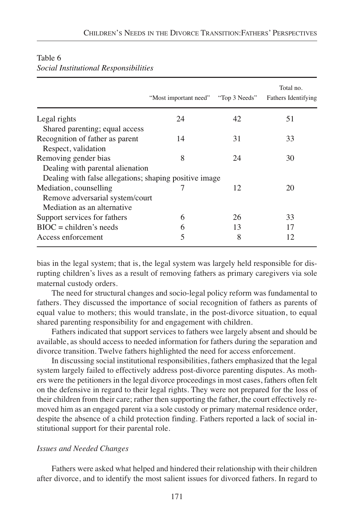|                                                        | "Most important need" | "Top 3 Needs" | Total no.<br><b>Fathers Identifying</b> |
|--------------------------------------------------------|-----------------------|---------------|-----------------------------------------|
| Legal rights                                           | 24                    | 42            | 51                                      |
| Shared parenting; equal access                         |                       |               |                                         |
| Recognition of father as parent                        | 14                    | 31            | 33                                      |
| Respect, validation                                    |                       |               |                                         |
| Removing gender bias                                   | 8                     | 24            | 30                                      |
| Dealing with parental alienation                       |                       |               |                                         |
| Dealing with false allegations; shaping positive image |                       |               |                                         |
| Mediation, counselling                                 |                       | 12            | 20                                      |
| Remove adversarial system/court                        |                       |               |                                         |
| Mediation as an alternative                            |                       |               |                                         |
| Support services for fathers                           | 6                     | 26            | 33                                      |
| $BIOC = children's needs$                              | 6                     | 13            | 17                                      |
| Access enforcement                                     | 5                     | 8             | 12                                      |

#### Table 6 *Social Institutional Responsibilities*

bias in the legal system; that is, the legal system was largely held responsible for disrupting children's lives as a result of removing fathers as primary caregivers via sole maternal custody orders.

The need for structural changes and socio-legal policy reform was fundamental to fathers. They discussed the importance of social recognition of fathers as parents of equal value to mothers; this would translate, in the post-divorce situation, to equal shared parenting responsibility for and engagement with children.

Fathers indicated that support services to fathers wee largely absent and should be available, as should access to needed information for fathers during the separation and divorce transition. Twelve fathers highlighted the need for access enforcement.

In discussing social institutional responsibilities, fathers emphasized that the legal system largely failed to effectively address post-divorce parenting disputes. As mothers were the petitioners in the legal divorce proceedings in most cases, fathers often felt on the defensive in regard to their legal rights. They were not prepared for the loss of their children from their care; rather then supporting the father, the court effectively removed him as an engaged parent via a sole custody or primary maternal residence order, despite the absence of a child protection finding. Fathers reported a lack of social institutional support for their parental role.

#### *Issues and Needed Changes*

Fathers were asked what helped and hindered their relationship with their children after divorce, and to identify the most salient issues for divorced fathers. In regard to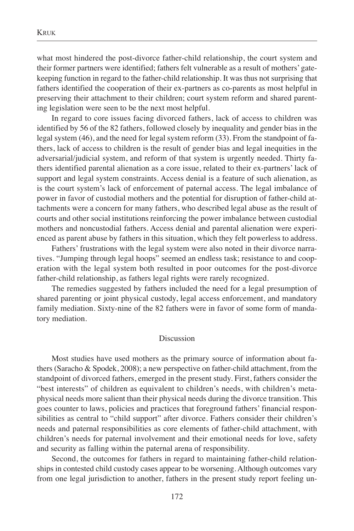what most hindered the post-divorce father-child relationship, the court system and their former partners were identified; fathers felt vulnerable as a result of mothers' gatekeeping function in regard to the father-child relationship. It was thus not surprising that fathers identified the cooperation of their ex-partners as co-parents as most helpful in preserving their attachment to their children; court system reform and shared parenting legislation were seen to be the next most helpful.

In regard to core issues facing divorced fathers, lack of access to children was identified by 56 of the 82 fathers, followed closely by inequality and gender bias in the legal system (46), and the need for legal system reform (33). From the standpoint of fathers, lack of access to children is the result of gender bias and legal inequities in the adversarial/judicial system, and reform of that system is urgently needed. Thirty fathers identified parental alienation as a core issue, related to their ex-partners' lack of support and legal system constraints. Access denial is a feature of such alienation, as is the court system's lack of enforcement of paternal access. The legal imbalance of power in favor of custodial mothers and the potential for disruption of father-child attachments were a concern for many fathers, who described legal abuse as the result of courts and other social institutions reinforcing the power imbalance between custodial mothers and noncustodial fathers. Access denial and parental alienation were experienced as parent abuse by fathers in this situation, which they felt powerless to address.

Fathers' frustrations with the legal system were also noted in their divorce narratives. "Jumping through legal hoops" seemed an endless task; resistance to and cooperation with the legal system both resulted in poor outcomes for the post-divorce father-child relationship, as fathers legal rights were rarely recognized.

The remedies suggested by fathers included the need for a legal presumption of shared parenting or joint physical custody, legal access enforcement, and mandatory family mediation. Sixty-nine of the 82 fathers were in favor of some form of mandatory mediation.

#### Discussion

Most studies have used mothers as the primary source of information about fathers (Saracho & Spodek, 2008); a new perspective on father-child attachment, from the standpoint of divorced fathers, emerged in the present study. First, fathers consider the "best interests" of children as equivalent to children's needs, with children's metaphysical needs more salient than their physical needs during the divorce transition. This goes counter to laws, policies and practices that foreground fathers' financial responsibilities as central to "child support" after divorce. Fathers consider their children's needs and paternal responsibilities as core elements of father-child attachment, with children's needs for paternal involvement and their emotional needs for love, safety and security as falling within the paternal arena of responsibility.

Second, the outcomes for fathers in regard to maintaining father-child relationships in contested child custody cases appear to be worsening. Although outcomes vary from one legal jurisdiction to another, fathers in the present study report feeling un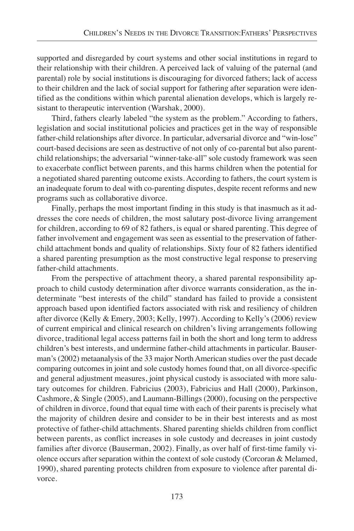supported and disregarded by court systems and other social institutions in regard to their relationship with their children. A perceived lack of valuing of the paternal (and parental) role by social institutions is discouraging for divorced fathers; lack of access to their children and the lack of social support for fathering after separation were identified as the conditions within which parental alienation develops, which is largely resistant to therapeutic intervention (Warshak, 2000).

Third, fathers clearly labeled "the system as the problem." According to fathers, legislation and social institutional policies and practices get in the way of responsible father-child relationships after divorce. In particular, adversarial divorce and "win-lose" court-based decisions are seen as destructive of not only of co-parental but also parentchild relationships; the adversarial "winner-take-all" sole custody framework was seen to exacerbate conflict between parents, and this harms children when the potential for a negotiated shared parenting outcome exists. According to fathers, the court system is an inadequate forum to deal with co-parenting disputes, despite recent reforms and new programs such as collaborative divorce.

Finally, perhaps the most important finding in this study is that inasmuch as it addresses the core needs of children, the most salutary post-divorce living arrangement for children, according to 69 of 82 fathers, is equal or shared parenting. This degree of father involvement and engagement was seen as essential to the preservation of fatherchild attachment bonds and quality of relationships. Sixty four of 82 fathers identified a shared parenting presumption as the most constructive legal response to preserving father-child attachments.

From the perspective of attachment theory, a shared parental responsibility approach to child custody determination after divorce warrants consideration, as the indeterminate "best interests of the child" standard has failed to provide a consistent approach based upon identified factors associated with risk and resiliency of children after divorce (Kelly & Emery, 2003; Kelly, 1997). According to Kelly's (2006) review of current empirical and clinical research on children's living arrangements following divorce, traditional legal access patterns fail in both the short and long term to address children's best interests, and undermine father-child attachments in particular. Bauserman's (2002) metaanalysis of the 33 major North American studies over the past decade comparing outcomes in joint and sole custody homes found that, on all divorce-specific and general adjustment measures, joint physical custody is associated with more salutary outcomes for children. Fabricius (2003), Fabricius and Hall (2000), Parkinson, Cashmore, & Single (2005), and Laumann-Billings (2000), focusing on the perspective of children in divorce, found that equal time with each of their parents is precisely what the majority of children desire and consider to be in their best interests and as most protective of father-child attachments. Shared parenting shields children from conflict between parents, as conflict increases in sole custody and decreases in joint custody families after divorce (Bauserman, 2002). Finally, as over half of first-time family violence occurs after separation within the context of sole custody (Corcoran & Melamed, 1990), shared parenting protects children from exposure to violence after parental divorce.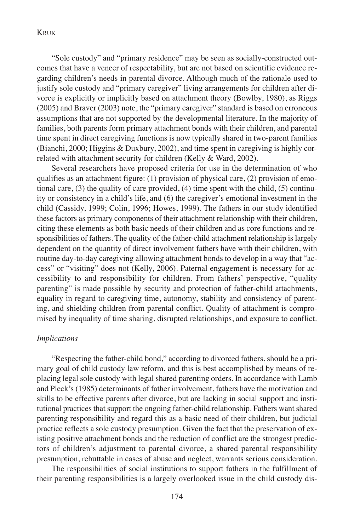"Sole custody" and "primary residence" may be seen as socially-constructed outcomes that have a veneer of respectability, but are not based on scientific evidence regarding children's needs in parental divorce. Although much of the rationale used to justify sole custody and "primary caregiver" living arrangements for children after divorce is explicitly or implicitly based on attachment theory (Bowlby, 1980), as Riggs (2005) and Braver (2003) note, the "primary caregiver" standard is based on erroneous assumptions that are not supported by the developmental literature. In the majority of families, both parents form primary attachment bonds with their children, and parental time spent in direct caregiving functions is now typically shared in two-parent families (Bianchi, 2000; Higgins & Duxbury, 2002), and time spent in caregiving is highly correlated with attachment security for children (Kelly & Ward, 2002).

Several researchers have proposed criteria for use in the determination of who qualifies as an attachment figure:  $(1)$  provision of physical care,  $(2)$  provision of emotional care, (3) the quality of care provided, (4) time spent with the child, (5) continuity or consistency in a child's life, and (6) the caregiver's emotional investment in the child (Cassidy, 1999; Colin, 1996; Howes, 1999). The fathers in our study identified these factors as primary components of their attachment relationship with their children, citing these elements as both basic needs of their children and as core functions and responsibilities of fathers. The quality of the father-child attachment relationship is largely dependent on the quantity of direct involvement fathers have with their children, with routine day-to-day caregiving allowing attachment bonds to develop in a way that "access" or "visiting" does not (Kelly, 2006). Paternal engagement is necessary for accessibility to and responsibility for children. From fathers' perspective, "quality parenting" is made possible by security and protection of father-child attachments, equality in regard to caregiving time, autonomy, stability and consistency of parenting, and shielding children from parental conflict. Quality of attachment is compromised by inequality of time sharing, disrupted relationships, and exposure to conflict.

#### *Implications*

"Respecting the father-child bond," according to divorced fathers, should be a primary goal of child custody law reform, and this is best accomplished by means of replacing legal sole custody with legal shared parenting orders. In accordance with Lamb and Pleck's (1985) determinants of father involvement, fathers have the motivation and skills to be effective parents after divorce, but are lacking in social support and institutional practices that support the ongoing father-child relationship. Fathers want shared parenting responsibility and regard this as a basic need of their children, but judicial practice reflects a sole custody presumption. Given the fact that the preservation of existing positive attachment bonds and the reduction of conflict are the strongest predictors of children's adjustment to parental divorce, a shared parental responsibility presumption, rebuttable in cases of abuse and neglect, warrants serious consideration.

The responsibilities of social institutions to support fathers in the fulfillment of their parenting responsibilities is a largely overlooked issue in the child custody dis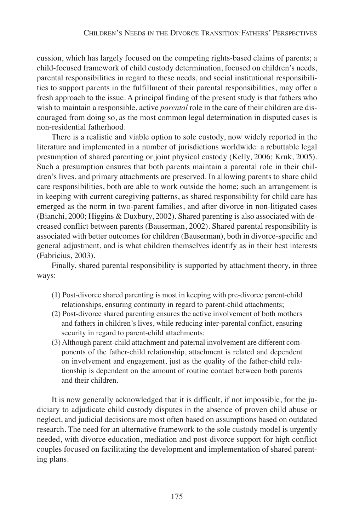cussion, which has largely focused on the competing rights-based claims of parents; a child-focused framework of child custody determination, focused on children's needs, parental responsibilities in regard to these needs, and social institutional responsibilities to support parents in the fulfillment of their parental responsibilities, may offer a fresh approach to the issue. A principal finding of the present study is that fathers who wish to maintain a responsible, active *parental* role in the care of their children are discouraged from doing so, as the most common legal determination in disputed cases is non-residential fatherhood.

There is a realistic and viable option to sole custody, now widely reported in the literature and implemented in a number of jurisdictions worldwide: a rebuttable legal presumption of shared parenting or joint physical custody (Kelly, 2006; Kruk, 2005). Such a presumption ensures that both parents maintain a parental role in their children's lives, and primary attachments are preserved. In allowing parents to share child care responsibilities, both are able to work outside the home; such an arrangement is in keeping with current caregiving patterns, as shared responsibility for child care has emerged as the norm in two-parent families, and after divorce in non-litigated cases (Bianchi, 2000; Higgins & Duxbury, 2002). Shared parenting is also associated with decreased conflict between parents (Bauserman, 2002). Shared parental responsibility is associated with better outcomes for children (Bauserman), both in divorce-specific and general adjustment, and is what children themselves identify as in their best interests (Fabricius, 2003).

Finally, shared parental responsibility is supported by attachment theory, in three ways:

- (1) Post-divorce shared parenting is most in keeping with pre-divorce parent-child relationships, ensuring continuity in regard to parent-child attachments;
- (2) Post-divorce shared parenting ensures the active involvement of both mothers and fathers in children's lives, while reducing inter-parental conflict, ensuring security in regard to parent-child attachments;
- (3) Although parent-child attachment and paternal involvement are different components of the father-child relationship, attachment is related and dependent on involvement and engagement, just as the quality of the father-child relationship is dependent on the amount of routine contact between both parents and their children.

It is now generally acknowledged that it is difficult, if not impossible, for the judiciary to adjudicate child custody disputes in the absence of proven child abuse or neglect, and judicial decisions are most often based on assumptions based on outdated research. The need for an alternative framework to the sole custody model is urgently needed, with divorce education, mediation and post-divorce support for high conflict couples focused on facilitating the development and implementation of shared parenting plans.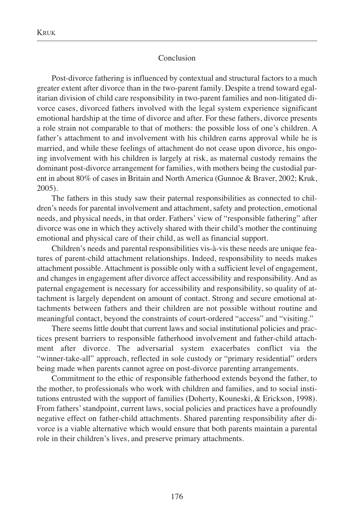#### Conclusion

Post-divorce fathering is influenced by contextual and structural factors to a much greater extent after divorce than in the two-parent family. Despite a trend toward egalitarian division of child care responsibility in two-parent families and non-litigated divorce cases, divorced fathers involved with the legal system experience significant emotional hardship at the time of divorce and after. For these fathers, divorce presents a role strain not comparable to that of mothers: the possible loss of one's children. A father's attachment to and involvement with his children earns approval while he is married, and while these feelings of attachment do not cease upon divorce, his ongoing involvement with his children is largely at risk, as maternal custody remains the dominant post-divorce arrangement for families, with mothers being the custodial parent in about 80% of cases in Britain and North America (Gunnoe & Braver, 2002; Kruk, 2005).

The fathers in this study saw their paternal responsibilities as connected to children's needs for parental involvement and attachment, safety and protection, emotional needs, and physical needs, in that order. Fathers' view of "responsible fathering" after divorce was one in which they actively shared with their child's mother the continuing emotional and physical care of their child, as well as financial support.

Children's needs and parental responsibilities vis-à-vis these needs are unique features of parent-child attachment relationships. Indeed, responsibility to needs makes attachment possible. Attachment is possible only with a sufficient level of engagement, and changes in engagement after divorce affect accessibility and responsibility. And as paternal engagement is necessary for accessibility and responsibility, so quality of attachment is largely dependent on amount of contact. Strong and secure emotional attachments between fathers and their children are not possible without routine and meaningful contact, beyond the constraints of court-ordered "access" and "visiting."

There seems little doubt that current laws and social institutional policies and practices present barriers to responsible fatherhood involvement and father-child attachment after divorce. The adversarial system exacerbates conflict via the "winner-take-all" approach, reflected in sole custody or "primary residential" orders being made when parents cannot agree on post-divorce parenting arrangements.

Commitment to the ethic of responsible fatherhood extends beyond the father, to the mother, to professionals who work with children and families, and to social institutions entrusted with the support of families (Doherty, Kouneski, & Erickson, 1998). From fathers' standpoint, current laws, social policies and practices have a profoundly negative effect on father-child attachments. Shared parenting responsibility after divorce is a viable alternative which would ensure that both parents maintain a parental role in their children's lives, and preserve primary attachments.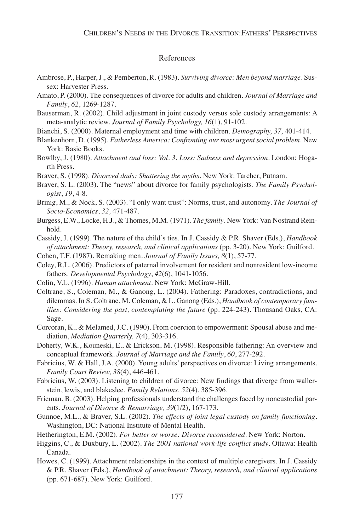#### References

- Ambrose, P., Harper, J., & Pemberton, R. (1983). *Surviving divorce: Men beyond marriage*. Sussex: Harvester Press.
- Amato, P. (2000). The consequences of divorce for adults and children. *Journal of Marriage and Family*, *62*, 1269-1287.
- Bauserman, R. (2002). Child adjustment in joint custody versus sole custody arrangements: A meta-analytic review. *Journal of Family Psychology, 16*(1), 91-102.
- Bianchi, S. (2000). Maternal employment and time with children. *Demography, 37,* 401-414.
- Blankenhorn, D. (1995). *Fatherless America: Confronting our most urgent social problem*. New York: Basic Books.
- Bowlby, J. (1980). *Attachment and loss: Vol. 3. Loss: Sadness and depression*. London: Hogarth Press.
- Braver, S. (1998). *Divorced dads: Shattering the myths.* New York: Tarcher, Putnam.
- Braver, S. L. (2003). The "news" about divorce for family psychologists. *The Family Psychologist*, *19*, 4-8.
- Brinig, M., & Nock, S. (2003). "I only want trust": Norms, trust, and autonomy. *The Journal of Socio-Economics*, *32,* 471-487.
- Burgess, E.W., Locke, H.J., & Thomes, M.M. (1971). *The family*. New York: Van Nostrand Reinhold.
- Cassidy, J. (1999). The nature of the child's ties. In J. Cassidy & P.R. Shaver (Eds.), *Handbook of attachment: Theory, research, and clinical applications* (pp. 3-20). New York: Guilford.
- Cohen, T.F. (1987). Remaking men. *Journal of Family Issues, 8*(1), 57-77.
- Coley, R.L. (2006). Predictors of paternal involvement for resident and nonresident low-income fathers. *Developmental Psychology*, *42*(6), 1041-1056.
- Colin, V.L. (1996). *Human attachment*. New York: McGraw-Hill.
- Coltrane, S., Coleman, M., & Ganong, L. (2004). Fathering: Paradoxes, contradictions, and dilemmas. In S. Coltrane, M. Coleman, & L. Ganong (Eds.), *Handbook of contemporary families: Considering the past, contemplating the future* (pp. 224-243). Thousand Oaks, CA: Sage.
- Corcoran, K., & Melamed, J.C. (1990). From coercion to empowerment: Spousal abuse and mediation, *Mediation Quarterly, 7*(4), 303-316.
- Doherty, W.K., Kouneski, E., & Erickson, M. (1998). Responsible fathering: An overview and conceptual framework. *Journal of Marriage and the Family*, *60*, 277-292.
- Fabricius, W. & Hall, J.A. (2000). Young adults' perspectives on divorce: Living arrangements. *Family Court Review, 38*(4), 446-461.
- Fabricius, W. (2003). Listening to children of divorce: New findings that diverge from wallerstein, lewis, and blakeslee. *Family Relations, 52*(4), 385-396.
- Frieman, B. (2003). Helping professionals understand the challenges faced by noncustodial parents. *Journal of Divorce & Remarriage, 39*(1/2), 167-173.
- Gunnoe, M.L., & Braver, S.L. (2002). *The effects of joint legal custody on family functioning*. Washington, DC: National Institute of Mental Health.
- Hetherington, E.M. (2002). *For better or worse: Divorce reconsidered.* New York: Norton.
- Higgins, C., & Duxbury, L. (2002). *The 2001 national work-life conflict study*. Ottawa: Health Canada.
- Howes, C. (1999). Attachment relationships in the context of multiple caregivers. In J. Cassidy & P.R. Shaver (Eds.), *Handbook of attachment: Theory, research, and clinical applications* (pp. 671-687). New York: Guilford.